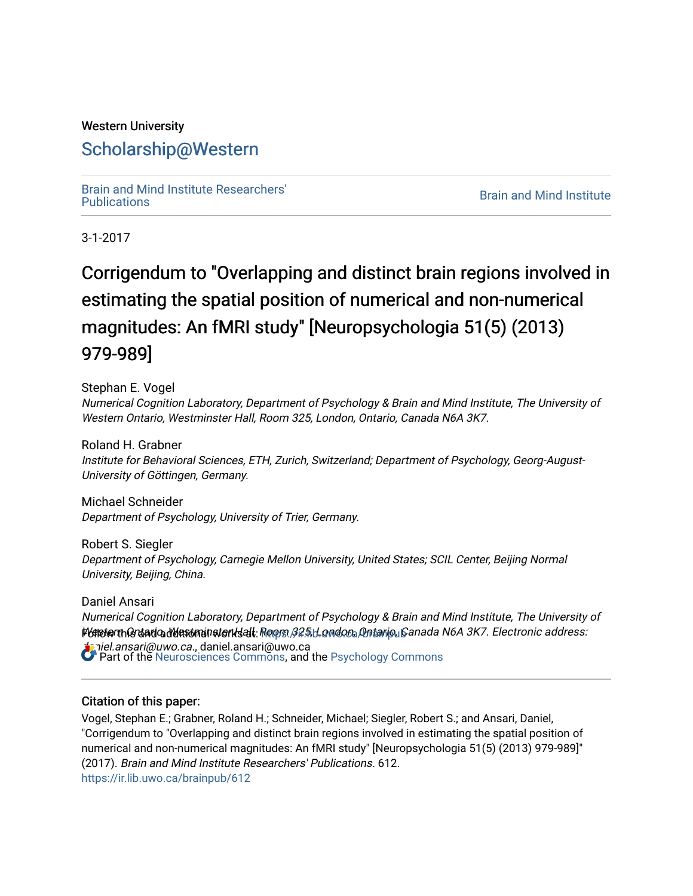## Western University [Scholarship@Western](https://ir.lib.uwo.ca/)

[Brain and Mind Institute Researchers'](https://ir.lib.uwo.ca/brainpub) 

**Brain and Mind Institute** 

3-1-2017

# Corrigendum to "Overlapping and distinct brain regions involved in estimating the spatial position of numerical and non-numerical magnitudes: An fMRI study" [Neuropsychologia 51(5) (2013) 979-989]

Stephan E. Vogel Numerical Cognition Laboratory, Department of Psychology & Brain and Mind Institute, The University of Western Ontario, Westminster Hall, Room 325, London, Ontario, Canada N6A 3K7.

Roland H. Grabner Institute for Behavioral Sciences, ETH, Zurich, Switzerland; Department of Psychology, Georg-August-University of Göttingen, Germany.

Michael Schneider Department of Psychology, University of Trier, Germany.

Robert S. Siegler Department of Psychology, Carnegie Mellon University, United States; SCIL Center, Beijing Normal University, Beijing, China.

Daniel Ansari Numerical Cognition Laboratory, Department of Psychology & Brain and Mind Institute, The University of PGNsterthQraadQadVdastmainsterksall:Roopsi,BQ:5iH.omdora,Qntario,LiCanada N6A 3K7. Electronic address: aiel.ansari@uwo.ca., daniel.ansari@uwo.ca Part of the [Neurosciences Commons](http://network.bepress.com/hgg/discipline/1010?utm_source=ir.lib.uwo.ca%2Fbrainpub%2F612&utm_medium=PDF&utm_campaign=PDFCoverPages), and the [Psychology Commons](http://network.bepress.com/hgg/discipline/404?utm_source=ir.lib.uwo.ca%2Fbrainpub%2F612&utm_medium=PDF&utm_campaign=PDFCoverPages) 

#### Citation of this paper:

Vogel, Stephan E.; Grabner, Roland H.; Schneider, Michael; Siegler, Robert S.; and Ansari, Daniel, "Corrigendum to "Overlapping and distinct brain regions involved in estimating the spatial position of numerical and non-numerical magnitudes: An fMRI study" [Neuropsychologia 51(5) (2013) 979-989]" (2017). Brain and Mind Institute Researchers' Publications. 612. [https://ir.lib.uwo.ca/brainpub/612](https://ir.lib.uwo.ca/brainpub/612?utm_source=ir.lib.uwo.ca%2Fbrainpub%2F612&utm_medium=PDF&utm_campaign=PDFCoverPages)